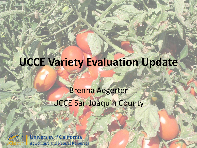# **UCCE Variety Evaluation Update**

## Brenna Aegerter UCCE San Joaquin County



**University of California Agriculture and Natural Resources**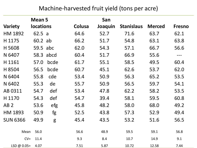#### Machine-harvested fruit yield (tons per acre)

|                 | <b>Mean 5</b>    |           |        | San     |                   |               |               |
|-----------------|------------------|-----------|--------|---------|-------------------|---------------|---------------|
| <b>Variety</b>  | <b>locations</b> |           | Colusa | Joaquin | <b>Stanislaus</b> | <b>Merced</b> | <b>Fresno</b> |
| HM 1892         | 62.5a            |           | 64.6   | 52.7    | 71.6              | 63.7          | 62.1          |
| H 1175          | 60.2 ab          |           | 66.2   | 51.7    | 54.8              | 63.1          | 63.8          |
| H 5608          | 59.5 abc         |           | 62.0   | 54.3    | 57.1              | 66.7          | 56.6          |
| N 6407          |                  | 58.3 abcd | 60.4   | 51.7    | 66.9              | 55.6          | $---$         |
| H 1161          | 57.0             | bcde      | 61.7   | 55.1    | 58.5              | 49.5          | 60.4          |
| H 8504          | 56.5             | bcde      | 60.7   | 45.1    | 62.6              | 53.7          | 62.0          |
| N 6404          | 55.8             | cde       | 53.4   | 50.9    | 56.3              | 65.2          | 53.5          |
| N 6402          | 55.3             | de        | 55.7   | 50.9    | 56.5              | 59.7          | 54.1          |
| AB 0311         | 54.7             | def       | 53.4   | 47.8    | 62.2              | 58.2          | 53.5          |
| H 1170          | 54.3             | def       | 54.7   | 39.4    | 58.1              | 59.5          | 60.8          |
| AB <sub>2</sub> | 53.6             | efg       | 45.8   | 48.2    | 58.0              | 68.0          | 49.2          |
| HM 1893         | 50.9             | fg        | 52.5   | 43.8    | 57.3              | 52.9          | 49.4          |
| <b>SUN 6366</b> | 49.9             | g         | 45.4   | 43.5    | 53.2              | 51.6          | 56.5          |
| Mean            | 56.0             |           | 56.6   | 48.9    | 59.5              | 59.1          | 56.8          |
| $CV =$          | 11.4             |           | 9.3    | 8.4     | 10.7              | 14.9          | 9.1           |
| LSD @ $0.05=$   | 4.07             |           | 7.51   | 5.87    | 10.72             | 12.58         | 7.44          |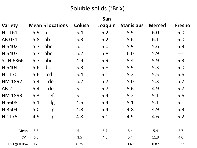### Soluble solids (°Brix)

| San             |      |                         |        |         |                   |               |               |  |
|-----------------|------|-------------------------|--------|---------|-------------------|---------------|---------------|--|
| <b>Variety</b>  |      | <b>Mean 5 locations</b> | Colusa | Joaquin | <b>Stanislaus</b> | <b>Merced</b> | <b>Fresno</b> |  |
| H 1161          | 5.9  | $\mathsf{a}$            | 5.4    | 6.2     | 5.9               | 6.0           | 6.0           |  |
| AB 0311         | 5.8  | ab                      | 5.3    | 6.2     | 5.6               | 6.1           | 6.0           |  |
| N 6402          | 5.7  | abc                     | 5.1    | 6.0     | 5.9               | 5.6           | 6.3           |  |
| N 6407          | 5.7  | abc                     | 5.2    | 5.8     | 6.0               | 5.9           | $---$         |  |
| <b>SUN 6366</b> | 5.7  | abc                     | 4.9    | 5.9     | 5.4               | 5.9           | 6.3           |  |
| N 6404          | 5.6  | bc                      | 5.3    | 5.8     | 5.9               | 5.3           | 6.0           |  |
| H 1170          | 5.6  | cd                      | 5.4    | 6.1     | 5.2               | 5.5           | 5.6           |  |
| HM 1892         | 5.4  | de                      | 5.2    | 5.7     | 5.0               | 5.3           | 5.7           |  |
| AB <sub>2</sub> | 5.4  | de                      | 5.1    | 5.7     | 5.6               | 4.9           | 5.7           |  |
| HM 1893         | 5.3  | ef                      | 5.1    | 5.4     | 5.2               | 5.1           | 5.6           |  |
| H 5608          | 5.1  | fg                      | 4.6    | 5.4     | 5.1               | 5.1           | 5.1           |  |
| H 8504          | 5.0  | g                       | 4.8    | 5.4     | 4.8               | 4.9           | 5.3           |  |
| H 1175          | 4.9  | g                       | 4.8    | 5.1     | 4.9               | 4.6           | 5.2           |  |
|                 |      |                         |        |         |                   |               |               |  |
| Mean            | 5.5  |                         | 5.1    | 5.7     | 5.4               | 5.4           | 5.7           |  |
| $CV =$          | 6.5  |                         | 3.5    | 4.0     | 5.4               | 11.3          | 4.0           |  |
| LSD @ $0.05=$   | 0.23 |                         | 0.25   | 0.33    | 0.49              | 0.87          | 0.33          |  |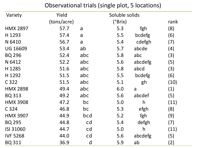#### Observational trials (single plot, 5 locations)

| Variety         | Yield       |                | Soluble solids |              |      |
|-----------------|-------------|----------------|----------------|--------------|------|
|                 | (tons/acre) |                | (°Brix)        |              | rank |
| <b>HMX 2897</b> | 57.7        | $\overline{a}$ | 5.3            | fgh          | (8)  |
| H 1293          | 57.4        | a              | 5.5            | bcdefg       | (6)  |
| N 6410          | 56.7        | $\overline{a}$ | 5.4            | cdefgh       | (7)  |
| <b>UG 16609</b> | 53.4        | ab             | 5.7            | abcde        | (4)  |
| <b>BQ 296</b>   | 52.4        | abc            | 5.8            | abc          | (3)  |
| N 6412          | 52.2        | abc            | 5.6            | abcdefg      | (5)  |
| H 1285          | 51.6        | abc            | 5.8            | abcd         | (3)  |
| H 1292          | 51.5        | abc            | 5.5            | bcdefg       | (6)  |
| C 322           | 51.5        | abc            | 5.1            | gh           | (10) |
| <b>HMX 2898</b> | 49.4        | abc            | 6.0            | a            | (1)  |
| <b>BQ 313</b>   | 49.2        | abc            | 5.6            | abcdef       | (5)  |
| <b>HMX 3908</b> | 47.2        | bc             | 5.0            | $\mathsf{h}$ | (11) |
| C 324           | 46.8        | bc             | 5.3            | efgh         | (8)  |
| <b>HMX 3907</b> | 44.9        | bcd            | 5.2            | fgh          | (9)  |
| <b>BQ 295</b>   | 44.8        | cd             | 5.4            | defgh        | (7)  |
| ISI 31060       | 44.7        | cd             | 5.0            | h            | (11) |
| <b>IVF 5268</b> | 44.0        | cd             | 5.6            | abcdefg      | (5)  |
| <b>BQ 311</b>   | 36.9        | d              | 5.9            | ab           | (2)  |